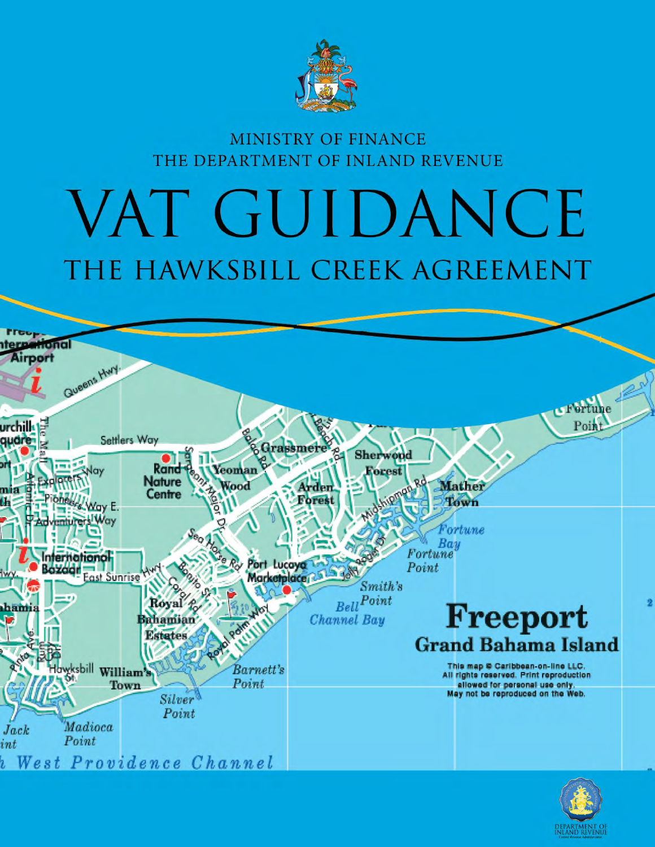

# MINISTRY OF FINANCE THE DEPARTMENT OF INLAND REVENUE

# VAT GUIDANCE THE HAWKSBILL CREEK AGREEMENT



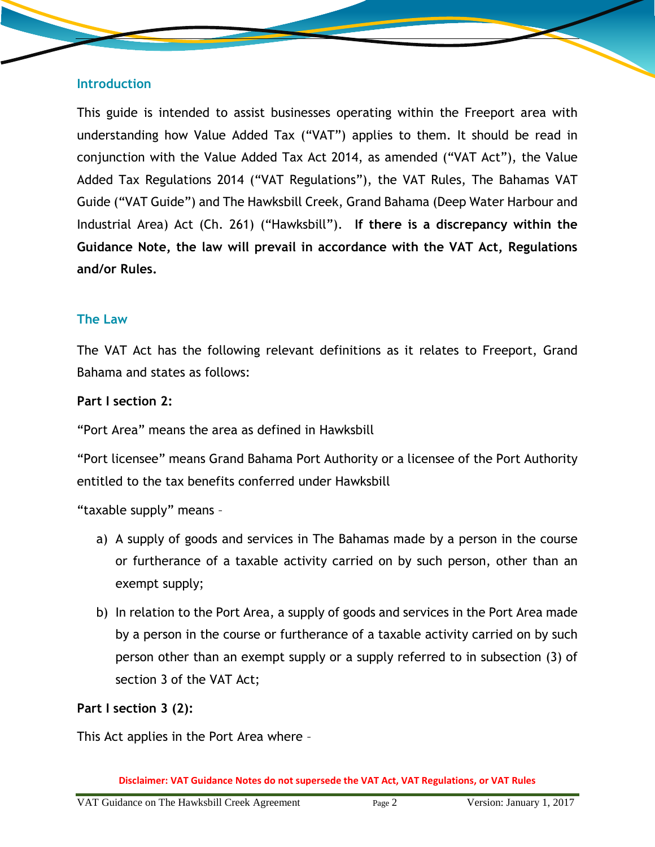#### **Introduction**

This guide is intended to assist businesses operating within the Freeport area with understanding how Value Added Tax ("VAT") applies to them. It should be read in conjunction with the Value Added Tax Act 2014, as amended ("VAT Act"), the Value Added Tax Regulations 2014 ("VAT Regulations"), the VAT Rules, The Bahamas VAT Guide ("VAT Guide") and The Hawksbill Creek, Grand Bahama (Deep Water Harbour and Industrial Area) Act (Ch. 261) ("Hawksbill"). **If there is a discrepancy within the Guidance Note, the law will prevail in accordance with the VAT Act, Regulations and/or Rules.**

#### **The Law**

The VAT Act has the following relevant definitions as it relates to Freeport, Grand Bahama and states as follows:

**Part I section 2:** 

"Port Area" means the area as defined in Hawksbill

"Port licensee" means Grand Bahama Port Authority or a licensee of the Port Authority entitled to the tax benefits conferred under Hawksbill

"taxable supply" means –

- a) A supply of goods and services in The Bahamas made by a person in the course or furtherance of a taxable activity carried on by such person, other than an exempt supply;
- b) In relation to the Port Area, a supply of goods and services in the Port Area made by a person in the course or furtherance of a taxable activity carried on by such person other than an exempt supply or a supply referred to in subsection (3) of section 3 of the VAT Act;

**Part I section 3 (2):** 

This Act applies in the Port Area where –

**Disclaimer: VAT Guidance Notes do not supersede the VAT Act, VAT Regulations, or VAT Rules**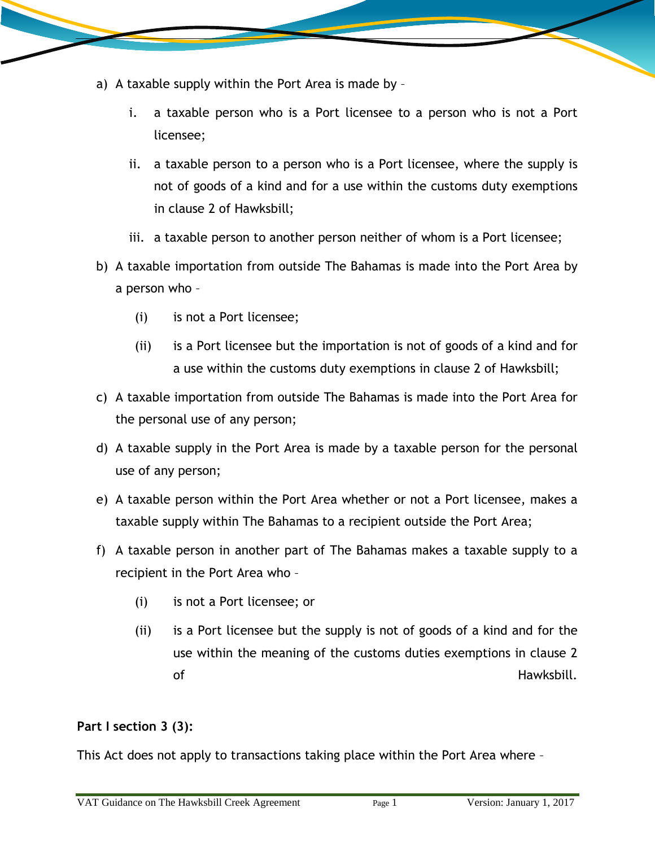- a) A taxable supply within the Port Area is made by
	- i. a taxable person who is a Port licensee to a person who is not a Port licensee;
	- ii. a taxable person to a person who is a Port licensee, where the supply is not of goods of a kind and for a use within the customs duty exemptions in clause 2 of Hawksbill;
	- iii. a taxable person to another person neither of whom is a Port licensee;
- b) A taxable importation from outside The Bahamas is made into the Port Area by a person who –
	- (i) is not a Port licensee;
	- (ii) is a Port licensee but the importation is not of goods of a kind and for a use within the customs duty exemptions in clause 2 of Hawksbill;
- c) A taxable importation from outside The Bahamas is made into the Port Area for the personal use of any person;
- d) A taxable supply in the Port Area is made by a taxable person for the personal use of any person;
- e) A taxable person within the Port Area whether or not a Port licensee, makes a taxable supply within The Bahamas to a recipient outside the Port Area;
- f) A taxable person in another part of The Bahamas makes a taxable supply to a recipient in the Port Area who –
	- (i) is not a Port licensee; or
	- (ii) is a Port licensee but the supply is not of goods of a kind and for the use within the meaning of the customs duties exemptions in clause 2 of **Hawksbill**

# **Part I section 3 (3):**

This Act does not apply to transactions taking place within the Port Area where –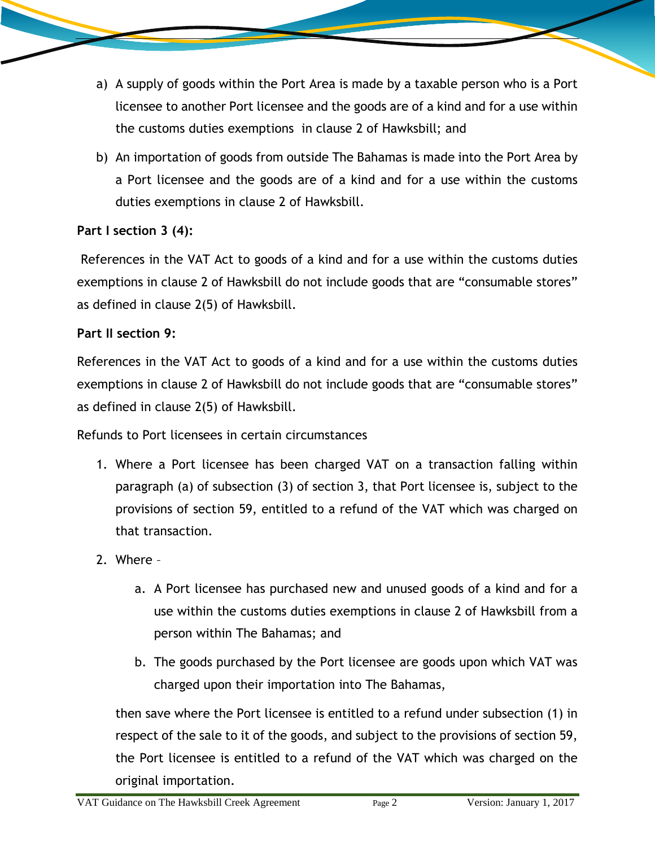- a) A supply of goods within the Port Area is made by a taxable person who is a Port licensee to another Port licensee and the goods are of a kind and for a use within the customs duties exemptions in clause 2 of Hawksbill; and
- b) An importation of goods from outside The Bahamas is made into the Port Area by a Port licensee and the goods are of a kind and for a use within the customs duties exemptions in clause 2 of Hawksbill.

# **Part I section 3 (4):**

 References in the VAT Act to goods of a kind and for a use within the customs duties exemptions in clause 2 of Hawksbill do not include goods that are "consumable stores" as defined in clause 2(5) of Hawksbill.

# **Part II section 9:**

References in the VAT Act to goods of a kind and for a use within the customs duties exemptions in clause 2 of Hawksbill do not include goods that are "consumable stores" as defined in clause 2(5) of Hawksbill.

Refunds to Port licensees in certain circumstances

- 1. Where a Port licensee has been charged VAT on a transaction falling within paragraph (a) of subsection (3) of section 3, that Port licensee is, subject to the provisions of section 59, entitled to a refund of the VAT which was charged on that transaction.
- 2. Where
	- a. A Port licensee has purchased new and unused goods of a kind and for a use within the customs duties exemptions in clause 2 of Hawksbill from a person within The Bahamas; and
	- b. The goods purchased by the Port licensee are goods upon which VAT was charged upon their importation into The Bahamas,

then save where the Port licensee is entitled to a refund under subsection (1) in respect of the sale to it of the goods, and subject to the provisions of section 59, the Port licensee is entitled to a refund of the VAT which was charged on the original importation.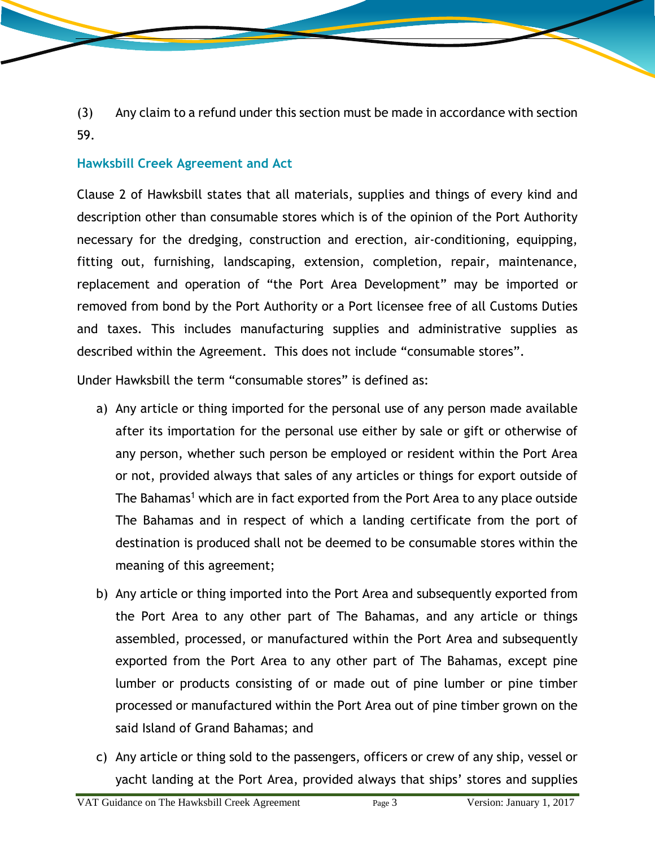(3) Any claim to a refund under this section must be made in accordance with section 59.

# **Hawksbill Creek Agreement and Act**

Clause 2 of Hawksbill states that all materials, supplies and things of every kind and description other than consumable stores which is of the opinion of the Port Authority necessary for the dredging, construction and erection, air-conditioning, equipping, fitting out, furnishing, landscaping, extension, completion, repair, maintenance, replacement and operation of "the Port Area Development" may be imported or removed from bond by the Port Authority or a Port licensee free of all Customs Duties and taxes. This includes manufacturing supplies and administrative supplies as described within the Agreement. This does not include "consumable stores".

Under Hawksbill the term "consumable stores" is defined as:

- a) Any article or thing imported for the personal use of any person made available after its importation for the personal use either by sale or gift or otherwise of any person, whether such person be employed or resident within the Port Area or not, provided always that sales of any articles or things for export outside of The Bahamas<sup>1</sup> which are in fact exported from the Port Area to any place outside The Bahamas and in respect of which a landing certificate from the port of destination is produced shall not be deemed to be consumable stores within the meaning of this agreement;
- b) Any article or thing imported into the Port Area and subsequently exported from the Port Area to any other part of The Bahamas, and any article or things assembled, processed, or manufactured within the Port Area and subsequently exported from the Port Area to any other part of The Bahamas, except pine lumber or products consisting of or made out of pine lumber or pine timber processed or manufactured within the Port Area out of pine timber grown on the said Island of Grand Bahamas; and
- c) Any article or thing sold to the passengers, officers or crew of any ship, vessel or yacht landing at the Port Area, provided always that ships' stores and supplies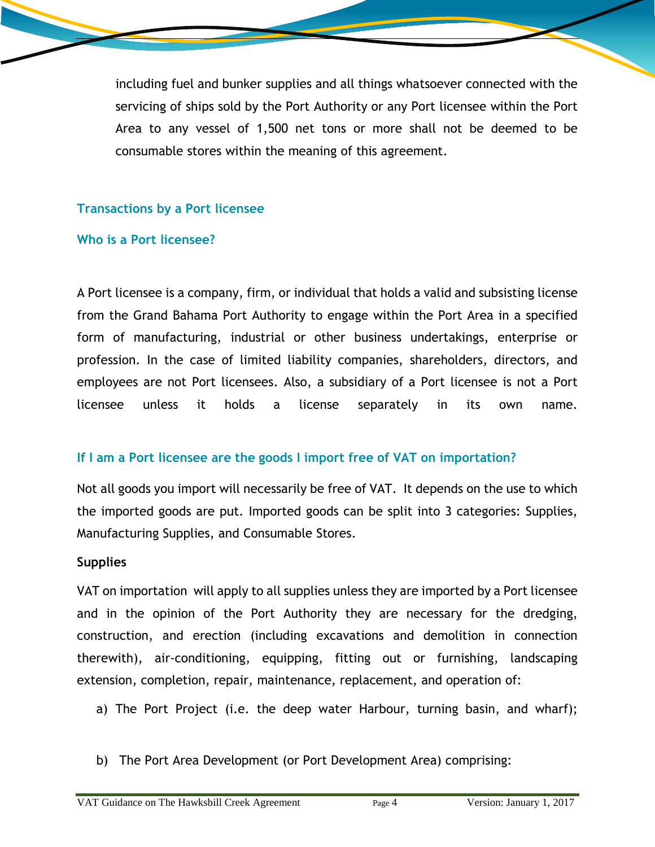including fuel and bunker supplies and all things whatsoever connected with the servicing of ships sold by the Port Authority or any Port licensee within the Port Area to any vessel of 1,500 net tons or more shall not be deemed to be consumable stores within the meaning of this agreement.

#### **Transactions by a Port licensee**

#### **Who is a Port licensee?**

A Port licensee is a company, firm, or individual that holds a valid and subsisting license from the Grand Bahama Port Authority to engage within the Port Area in a specified form of manufacturing, industrial or other business undertakings, enterprise or profession. In the case of limited liability companies, shareholders, directors, and employees are not Port licensees. Also, a subsidiary of a Port licensee is not a Port licensee unless it holds a license separately in its own name.

#### **If I am a Port licensee are the goods I import free of VAT on importation?**

Not all goods you import will necessarily be free of VAT. It depends on the use to which the imported goods are put. Imported goods can be split into 3 categories: Supplies, Manufacturing Supplies, and Consumable Stores.

#### **Supplies**

VAT on importation will apply to all supplies unless they are imported by a Port licensee and in the opinion of the Port Authority they are necessary for the dredging, construction, and erection (including excavations and demolition in connection therewith), air-conditioning, equipping, fitting out or furnishing, landscaping extension, completion, repair, maintenance, replacement, and operation of:

- a) The Port Project (i.e. the deep water Harbour, turning basin, and wharf);
- b) The Port Area Development (or Port Development Area) comprising: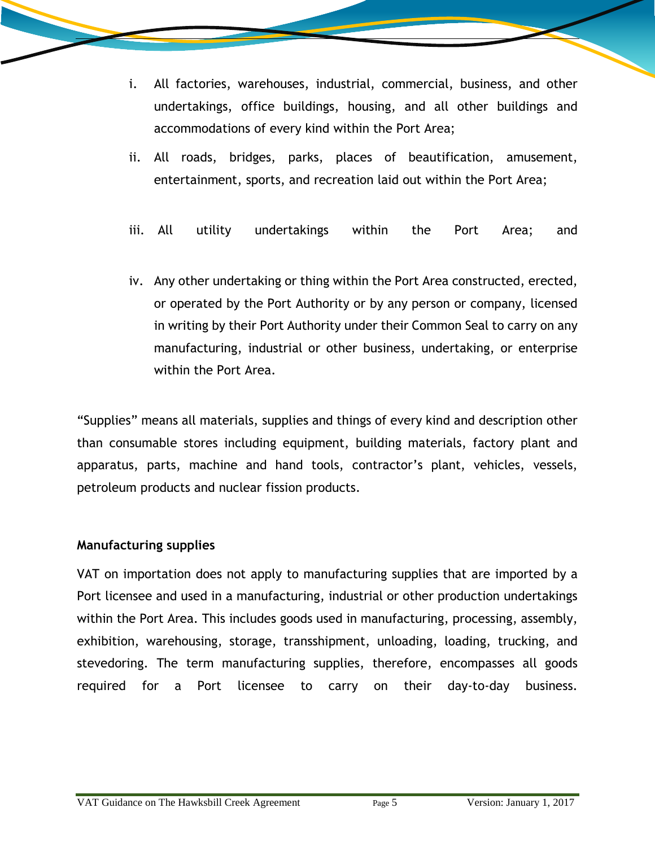- i. All factories, warehouses, industrial, commercial, business, and other undertakings, office buildings, housing, and all other buildings and accommodations of every kind within the Port Area;
	- ii. All roads, bridges, parks, places of beautification, amusement, entertainment, sports, and recreation laid out within the Port Area;
	- iii. All utility undertakings within the Port Area; and
	- iv. Any other undertaking or thing within the Port Area constructed, erected, or operated by the Port Authority or by any person or company, licensed in writing by their Port Authority under their Common Seal to carry on any manufacturing, industrial or other business, undertaking, or enterprise within the Port Area.

"Supplies" means all materials, supplies and things of every kind and description other than consumable stores including equipment, building materials, factory plant and apparatus, parts, machine and hand tools, contractor's plant, vehicles, vessels, petroleum products and nuclear fission products.

#### **Manufacturing supplies**

VAT on importation does not apply to manufacturing supplies that are imported by a Port licensee and used in a manufacturing, industrial or other production undertakings within the Port Area. This includes goods used in manufacturing, processing, assembly, exhibition, warehousing, storage, transshipment, unloading, loading, trucking, and stevedoring. The term manufacturing supplies, therefore, encompasses all goods required for a Port licensee to carry on their day-to-day business.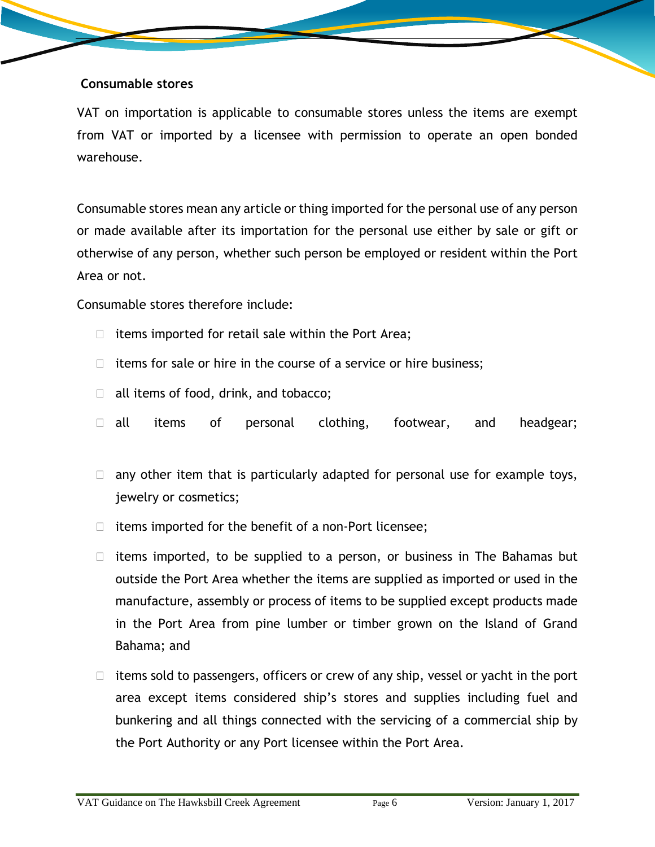

#### **Consumable stores**

VAT on importation is applicable to consumable stores unless the items are exempt from VAT or imported by a licensee with permission to operate an open bonded warehouse.

Consumable stores mean any article or thing imported for the personal use of any person or made available after its importation for the personal use either by sale or gift or otherwise of any person, whether such person be employed or resident within the Port Area or not.

Consumable stores therefore include:

- $\Box$  items imported for retail sale within the Port Area;
- $\Box$  items for sale or hire in the course of a service or hire business;
- $\Box$  all items of food, drink, and tobacco;
- □ all items of personal clothing, footwear, and headgear;
- $\Box$  any other item that is particularly adapted for personal use for example toys, jewelry or cosmetics;
- $\Box$  items imported for the benefit of a non-Port licensee;
- $\Box$  items imported, to be supplied to a person, or business in The Bahamas but outside the Port Area whether the items are supplied as imported or used in the manufacture, assembly or process of items to be supplied except products made in the Port Area from pine lumber or timber grown on the Island of Grand Bahama; and
- $\Box$  items sold to passengers, officers or crew of any ship, vessel or yacht in the port area except items considered ship's stores and supplies including fuel and bunkering and all things connected with the servicing of a commercial ship by the Port Authority or any Port licensee within the Port Area.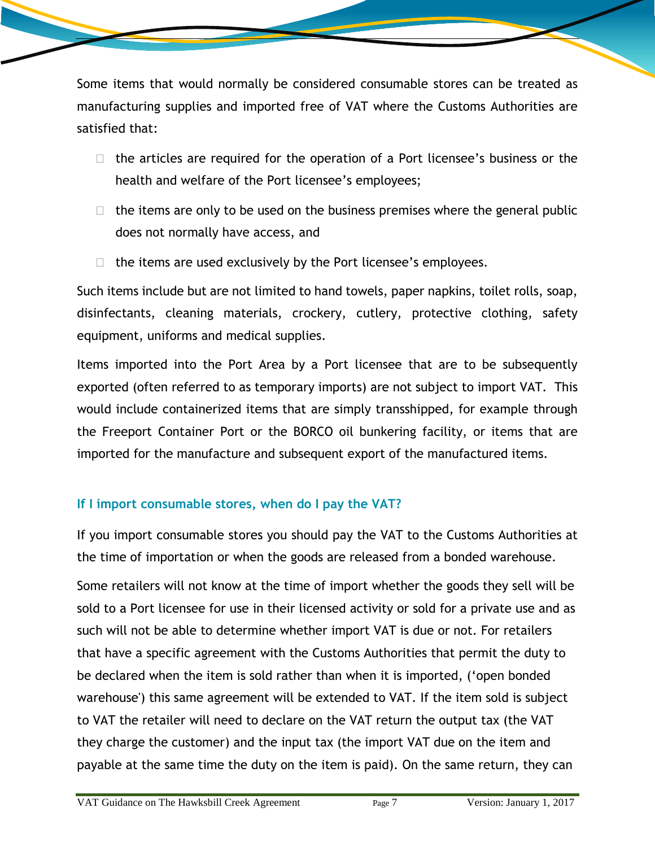Some items that would normally be considered consumable stores can be treated as manufacturing supplies and imported free of VAT where the Customs Authorities are satisfied that:

- $\Box$  the articles are required for the operation of a Port licensee's business or the health and welfare of the Port licensee's employees;
- $\Box$  the items are only to be used on the business premises where the general public does not normally have access, and
- $\Box$  the items are used exclusively by the Port licensee's employees.

Such items include but are not limited to hand towels, paper napkins, toilet rolls, soap, disinfectants, cleaning materials, crockery, cutlery, protective clothing, safety equipment, uniforms and medical supplies.

Items imported into the Port Area by a Port licensee that are to be subsequently exported (often referred to as temporary imports) are not subject to import VAT. This would include containerized items that are simply transshipped, for example through the Freeport Container Port or the BORCO oil bunkering facility, or items that are imported for the manufacture and subsequent export of the manufactured items.

# **If I import consumable stores, when do I pay the VAT?**

If you import consumable stores you should pay the VAT to the Customs Authorities at the time of importation or when the goods are released from a bonded warehouse.

Some retailers will not know at the time of import whether the goods they sell will be sold to a Port licensee for use in their licensed activity or sold for a private use and as such will not be able to determine whether import VAT is due or not. For retailers that have a specific agreement with the Customs Authorities that permit the duty to be declared when the item is sold rather than when it is imported, ('open bonded warehouse') this same agreement will be extended to VAT. If the item sold is subject to VAT the retailer will need to declare on the VAT return the output tax (the VAT they charge the customer) and the input tax (the import VAT due on the item and payable at the same time the duty on the item is paid). On the same return, they can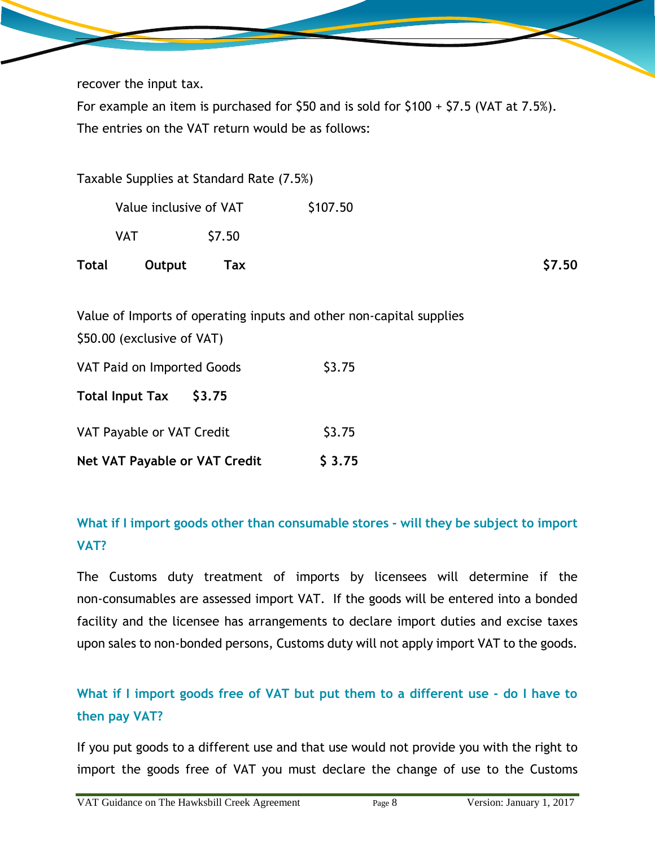recover the input tax.

For example an item is purchased for \$50 and is sold for \$100 + \$7.5 (VAT at 7.5%). The entries on the VAT return would be as follows:

| Taxable Supplies at Standard Rate (7.5%)                            |                        |        |          |        |
|---------------------------------------------------------------------|------------------------|--------|----------|--------|
|                                                                     | Value inclusive of VAT |        | \$107.50 |        |
|                                                                     | <b>VAT</b>             | \$7.50 |          |        |
| <b>Total</b>                                                        | Output                 | Tax    |          | \$7.50 |
|                                                                     |                        |        |          |        |
| Value of Imports of operating inputs and other non-capital supplies |                        |        |          |        |
| \$50.00 (exclusive of VAT)                                          |                        |        |          |        |
| VAT Paid on Imported Goods                                          |                        |        | \$3.75   |        |
|                                                                     | <b>Total Input Tax</b> | \$3.75 |          |        |
| VAT Payable or VAT Credit                                           |                        |        | \$3.75   |        |
| <b>Net VAT Payable or VAT Credit</b>                                |                        |        | \$3.75   |        |

# **What if I import goods other than consumable stores - will they be subject to import VAT?**

The Customs duty treatment of imports by licensees will determine if the non-consumables are assessed import VAT. If the goods will be entered into a bonded facility and the licensee has arrangements to declare import duties and excise taxes upon sales to non-bonded persons, Customs duty will not apply import VAT to the goods.

# **What if I import goods free of VAT but put them to a different use - do I have to then pay VAT?**

If you put goods to a different use and that use would not provide you with the right to import the goods free of VAT you must declare the change of use to the Customs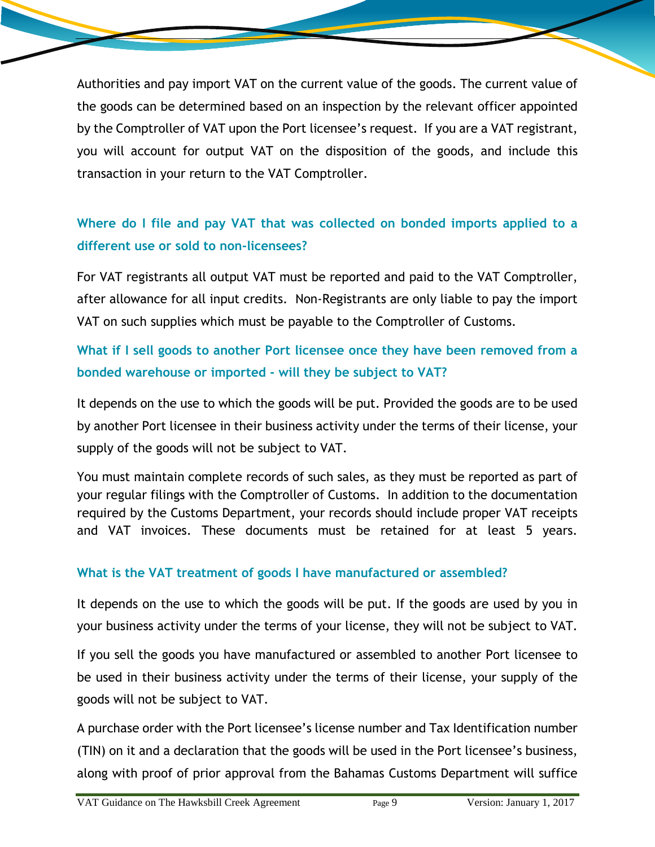Authorities and pay import VAT on the current value of the goods. The current value of the goods can be determined based on an inspection by the relevant officer appointed by the Comptroller of VAT upon the Port licensee's request. If you are a VAT registrant, you will account for output VAT on the disposition of the goods, and include this transaction in your return to the VAT Comptroller.

# **Where do I file and pay VAT that was collected on bonded imports applied to a different use or sold to non-licensees?**

For VAT registrants all output VAT must be reported and paid to the VAT Comptroller, after allowance for all input credits. Non-Registrants are only liable to pay the import VAT on such supplies which must be payable to the Comptroller of Customs.

**What if I sell goods to another Port licensee once they have been removed from a bonded warehouse or imported - will they be subject to VAT?** 

It depends on the use to which the goods will be put. Provided the goods are to be used by another Port licensee in their business activity under the terms of their license, your supply of the goods will not be subject to VAT.

You must maintain complete records of such sales, as they must be reported as part of your regular filings with the Comptroller of Customs. In addition to the documentation required by the Customs Department, your records should include proper VAT receipts and VAT invoices. These documents must be retained for at least 5 years.

# **What is the VAT treatment of goods I have manufactured or assembled?**

It depends on the use to which the goods will be put. If the goods are used by you in your business activity under the terms of your license, they will not be subject to VAT.

If you sell the goods you have manufactured or assembled to another Port licensee to be used in their business activity under the terms of their license, your supply of the goods will not be subject to VAT.

A purchase order with the Port licensee's license number and Tax Identification number (TIN) on it and a declaration that the goods will be used in the Port licensee's business, along with proof of prior approval from the Bahamas Customs Department will suffice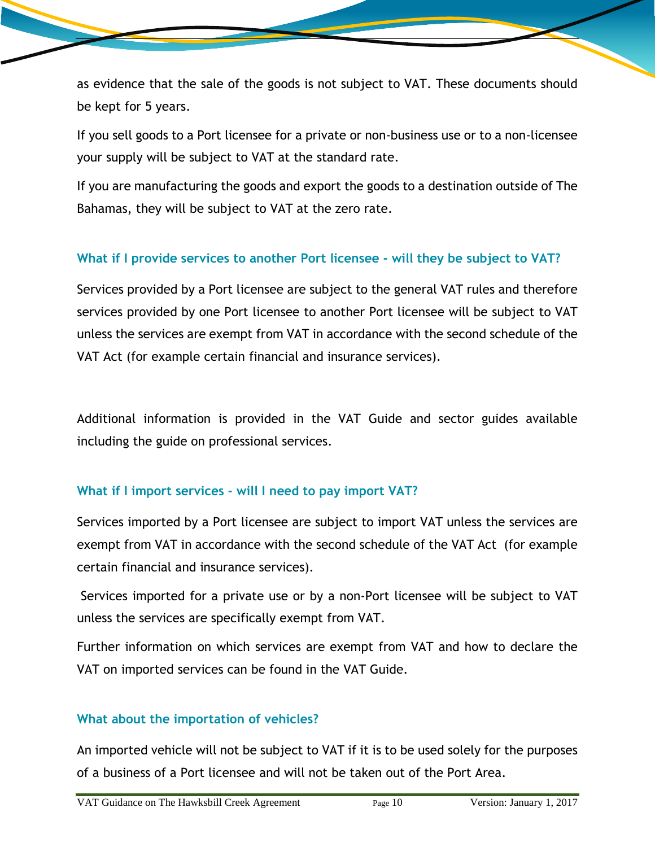as evidence that the sale of the goods is not subject to VAT. These documents should be kept for 5 years.

If you sell goods to a Port licensee for a private or non-business use or to a non-licensee your supply will be subject to VAT at the standard rate.

If you are manufacturing the goods and export the goods to a destination outside of The Bahamas, they will be subject to VAT at the zero rate.

# **What if I provide services to another Port licensee - will they be subject to VAT?**

Services provided by a Port licensee are subject to the general VAT rules and therefore services provided by one Port licensee to another Port licensee will be subject to VAT unless the services are exempt from VAT in accordance with the second schedule of the VAT Act (for example certain financial and insurance services).

Additional information is provided in the VAT Guide and sector guides available including the guide on professional services.

# **What if I import services - will I need to pay import VAT?**

Services imported by a Port licensee are subject to import VAT unless the services are exempt from VAT in accordance with the second schedule of the VAT Act (for example certain financial and insurance services).

 Services imported for a private use or by a non-Port licensee will be subject to VAT unless the services are specifically exempt from VAT.

Further information on which services are exempt from VAT and how to declare the VAT on imported services can be found in the VAT Guide.

# **What about the importation of vehicles?**

An imported vehicle will not be subject to VAT if it is to be used solely for the purposes of a business of a Port licensee and will not be taken out of the Port Area.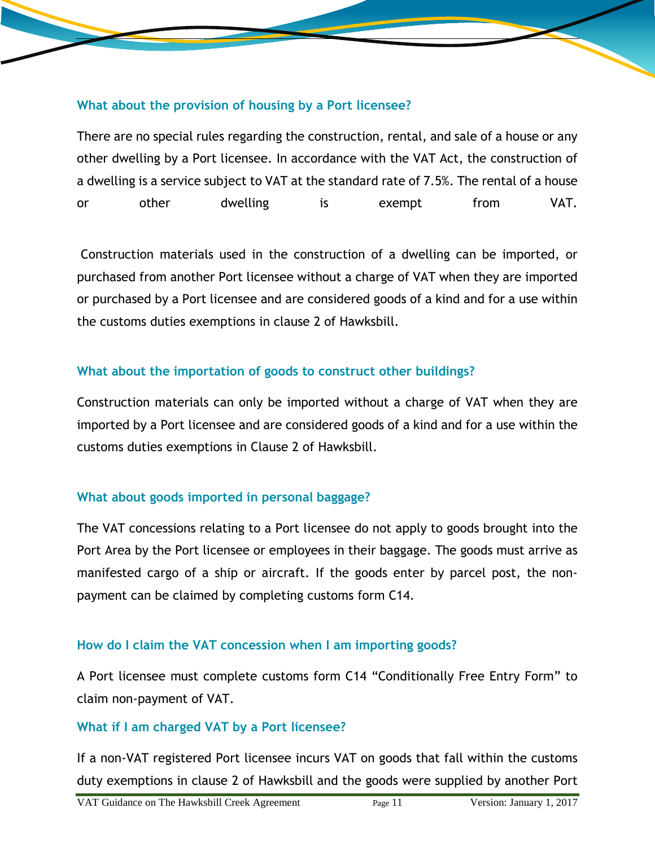#### **What about the provision of housing by a Port licensee?**

There are no special rules regarding the construction, rental, and sale of a house or any other dwelling by a Port licensee. In accordance with the VAT Act, the construction of a dwelling is a service subject to VAT at the standard rate of 7.5%. The rental of a house or other dwelling is exempt from VAT.

 Construction materials used in the construction of a dwelling can be imported, or purchased from another Port licensee without a charge of VAT when they are imported or purchased by a Port licensee and are considered goods of a kind and for a use within the customs duties exemptions in clause 2 of Hawksbill.

# **What about the importation of goods to construct other buildings?**

Construction materials can only be imported without a charge of VAT when they are imported by a Port licensee and are considered goods of a kind and for a use within the customs duties exemptions in Clause 2 of Hawksbill.

# **What about goods imported in personal baggage?**

The VAT concessions relating to a Port licensee do not apply to goods brought into the Port Area by the Port licensee or employees in their baggage. The goods must arrive as manifested cargo of a ship or aircraft. If the goods enter by parcel post, the nonpayment can be claimed by completing customs form C14.

# **How do I claim the VAT concession when I am importing goods?**

A Port licensee must complete customs form C14 "Conditionally Free Entry Form" to claim non-payment of VAT.

# **What if I am charged VAT by a Port licensee?**

If a non-VAT registered Port licensee incurs VAT on goods that fall within the customs duty exemptions in clause 2 of Hawksbill and the goods were supplied by another Port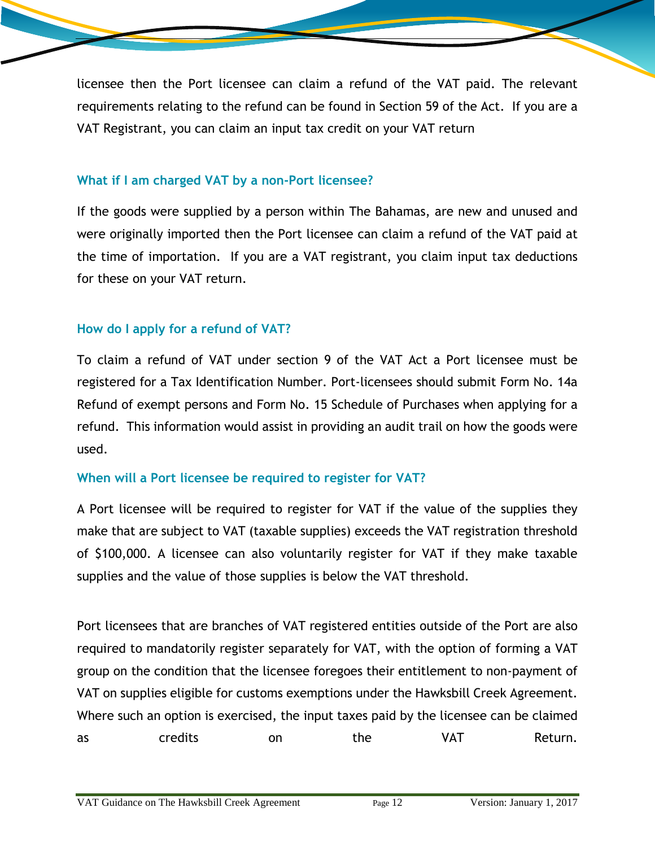licensee then the Port licensee can claim a refund of the VAT paid. The relevant requirements relating to the refund can be found in Section 59 of the Act. If you are a VAT Registrant, you can claim an input tax credit on your VAT return

# **What if I am charged VAT by a non-Port licensee?**

If the goods were supplied by a person within The Bahamas, are new and unused and were originally imported then the Port licensee can claim a refund of the VAT paid at the time of importation. If you are a VAT registrant, you claim input tax deductions for these on your VAT return.

# **How do I apply for a refund of VAT?**

To claim a refund of VAT under section 9 of the VAT Act a Port licensee must be registered for a Tax Identification Number. Port-licensees should submit Form No. 14a Refund of exempt persons and Form No. 15 Schedule of Purchases when applying for a refund. This information would assist in providing an audit trail on how the goods were used.

# **When will a Port licensee be required to register for VAT?**

A Port licensee will be required to register for VAT if the value of the supplies they make that are subject to VAT (taxable supplies) exceeds the VAT registration threshold of \$100,000. A licensee can also voluntarily register for VAT if they make taxable supplies and the value of those supplies is below the VAT threshold.

Port licensees that are branches of VAT registered entities outside of the Port are also required to mandatorily register separately for VAT, with the option of forming a VAT group on the condition that the licensee foregoes their entitlement to non-payment of VAT on supplies eligible for customs exemptions under the Hawksbill Creek Agreement. Where such an option is exercised, the input taxes paid by the licensee can be claimed as credits on the VAT Return.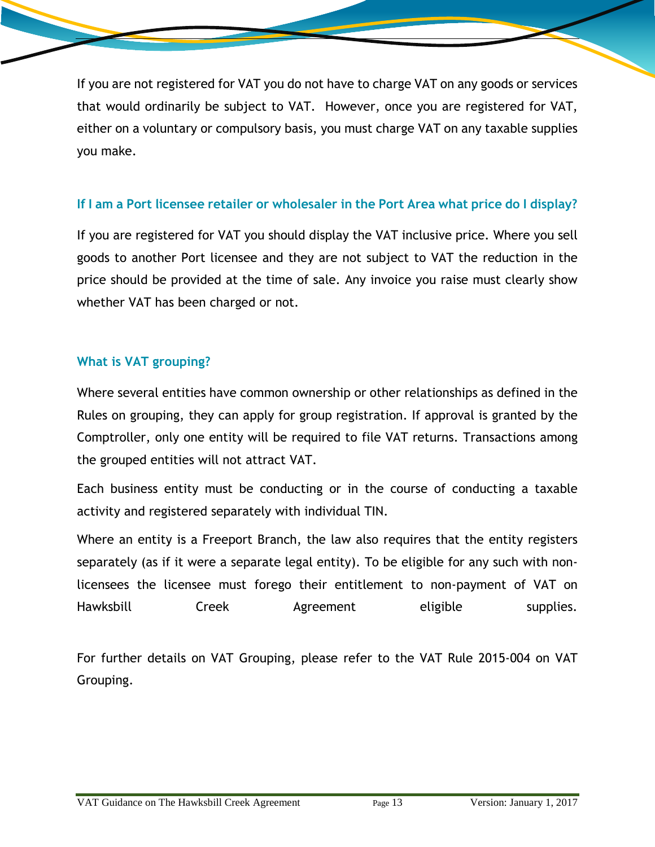If you are not registered for VAT you do not have to charge VAT on any goods or services that would ordinarily be subject to VAT. However, once you are registered for VAT, either on a voluntary or compulsory basis, you must charge VAT on any taxable supplies you make.

# **If I am a Port licensee retailer or wholesaler in the Port Area what price do I display?**

If you are registered for VAT you should display the VAT inclusive price. Where you sell goods to another Port licensee and they are not subject to VAT the reduction in the price should be provided at the time of sale. Any invoice you raise must clearly show whether VAT has been charged or not.

# **What is VAT grouping?**

Where several entities have common ownership or other relationships as defined in the Rules on grouping, they can apply for group registration. If approval is granted by the Comptroller, only one entity will be required to file VAT returns. Transactions among the grouped entities will not attract VAT.

Each business entity must be conducting or in the course of conducting a taxable activity and registered separately with individual TIN.

Where an entity is a Freeport Branch, the law also requires that the entity registers separately (as if it were a separate legal entity). To be eligible for any such with nonlicensees the licensee must forego their entitlement to non-payment of VAT on Hawksbill Creek Agreement eligible supplies.

For further details on VAT Grouping, please refer to the VAT Rule 2015-004 on VAT Grouping.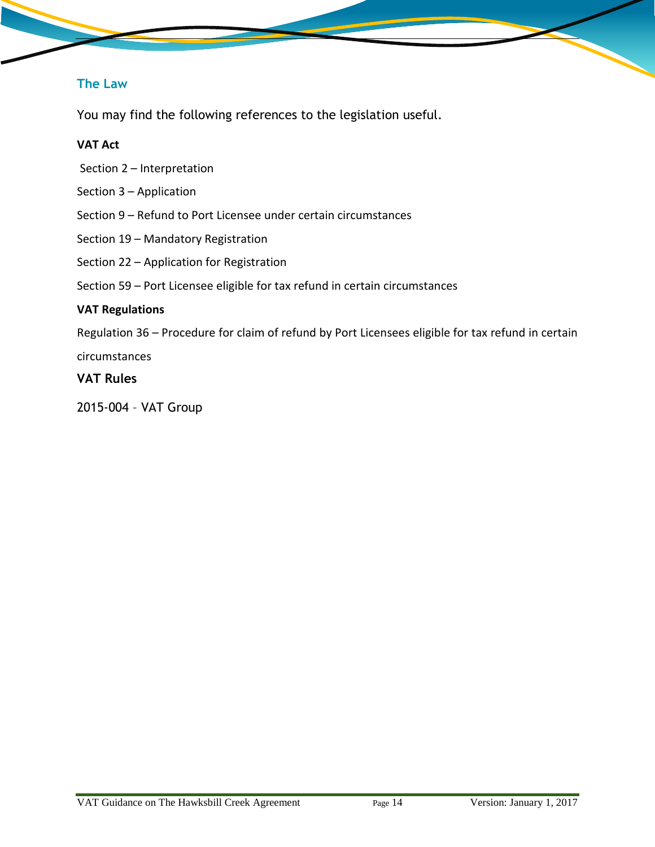#### **The Law**

You may find the following references to the legislation useful.

#### **VAT Act**

- Section 2 Interpretation
- Section 3 Application
- Section 9 Refund to Port Licensee under certain circumstances
- Section 19 Mandatory Registration
- Section 22 Application for Registration
- Section 59 Port Licensee eligible for tax refund in certain circumstances

#### **VAT Regulations**

Regulation 36 – Procedure for claim of refund by Port Licensees eligible for tax refund in certain circumstances

#### **VAT Rules**

2015-004 – VAT Group